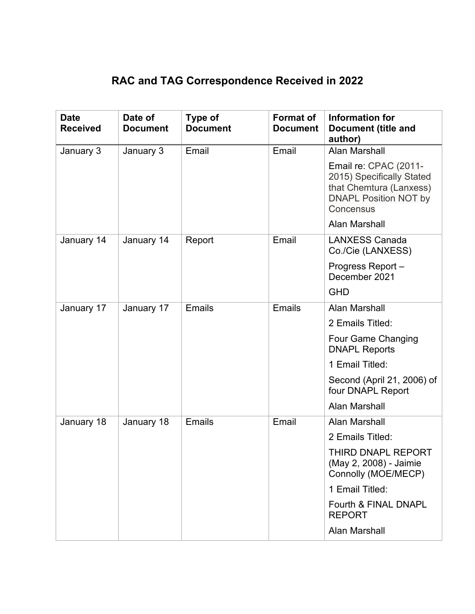## **RAC and TAG Correspondence Received in 2022**

| <b>Date</b><br><b>Received</b> | Date of<br><b>Document</b> | Type of<br><b>Document</b> | <b>Format of</b><br><b>Document</b> | Information for<br><b>Document (title and</b><br>author)                                                                   |
|--------------------------------|----------------------------|----------------------------|-------------------------------------|----------------------------------------------------------------------------------------------------------------------------|
| January 3                      | January 3                  | Email                      | Email                               | <b>Alan Marshall</b>                                                                                                       |
|                                |                            |                            |                                     | Email re: CPAC (2011-<br>2015) Specifically Stated<br>that Chemtura (Lanxess)<br><b>DNAPL Position NOT by</b><br>Concensus |
|                                |                            |                            |                                     | <b>Alan Marshall</b>                                                                                                       |
| January 14                     | January 14                 | Report                     | Email                               | <b>LANXESS Canada</b><br>Co./Cie (LANXESS)                                                                                 |
|                                |                            |                            |                                     | Progress Report-<br>December 2021                                                                                          |
|                                |                            |                            |                                     | <b>GHD</b>                                                                                                                 |
| January 17                     | January 17                 | Emails                     | Emails                              | Alan Marshall                                                                                                              |
|                                |                            |                            |                                     | 2 Emails Titled:                                                                                                           |
|                                |                            |                            |                                     | Four Game Changing<br><b>DNAPL Reports</b>                                                                                 |
|                                |                            |                            |                                     | 1 Email Titled:                                                                                                            |
|                                |                            |                            |                                     | Second (April 21, 2006) of<br>four DNAPL Report                                                                            |
|                                |                            |                            |                                     | <b>Alan Marshall</b>                                                                                                       |
| January 18                     | January 18                 | <b>Emails</b>              | Email                               | <b>Alan Marshall</b>                                                                                                       |
|                                |                            |                            |                                     | 2 Emails Titled:                                                                                                           |
|                                |                            |                            |                                     | <b>THIRD DNAPL REPORT</b><br>(May 2, 2008) - Jaimie<br>Connolly (MOE/MECP)                                                 |
|                                |                            |                            |                                     | 1 Email Titled:                                                                                                            |
|                                |                            |                            |                                     | Fourth & FINAL DNAPL<br><b>REPORT</b>                                                                                      |
|                                |                            |                            |                                     | <b>Alan Marshall</b>                                                                                                       |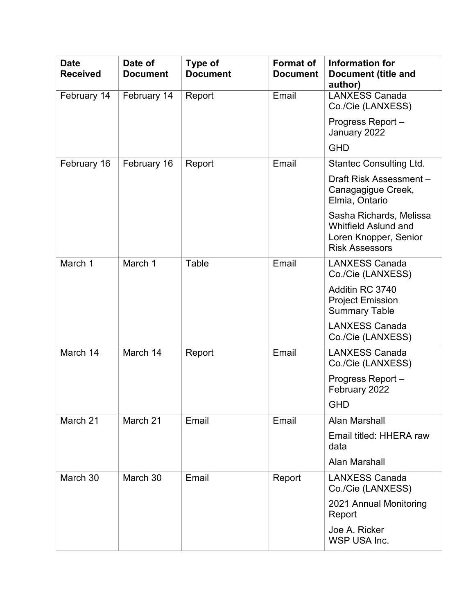| <b>Date</b><br><b>Received</b> | Date of<br><b>Document</b> | <b>Type of</b><br><b>Document</b> | <b>Format of</b><br><b>Document</b> | Information for<br><b>Document (title and</b><br>author)                                                 |
|--------------------------------|----------------------------|-----------------------------------|-------------------------------------|----------------------------------------------------------------------------------------------------------|
| February 14                    | February 14                | Report                            | Email                               | <b>LANXESS Canada</b><br>Co./Cie (LANXESS)                                                               |
|                                |                            |                                   |                                     | Progress Report-<br>January 2022                                                                         |
|                                |                            |                                   |                                     | <b>GHD</b>                                                                                               |
| February 16                    | February 16                | Report                            | Email                               | <b>Stantec Consulting Ltd.</b>                                                                           |
|                                |                            |                                   |                                     | Draft Risk Assessment-<br>Canagagigue Creek,<br>Elmia, Ontario                                           |
|                                |                            |                                   |                                     | Sasha Richards, Melissa<br><b>Whitfield Aslund and</b><br>Loren Knopper, Senior<br><b>Risk Assessors</b> |
| March 1                        | March 1                    | Table                             | Email                               | <b>LANXESS Canada</b><br>Co./Cie (LANXESS)                                                               |
|                                |                            |                                   |                                     | Additin RC 3740<br><b>Project Emission</b><br><b>Summary Table</b>                                       |
|                                |                            |                                   |                                     | <b>LANXESS Canada</b><br>Co./Cie (LANXESS)                                                               |
| March 14                       | March 14                   | Report                            | Email                               | <b>LANXESS Canada</b><br>Co./Cie (LANXESS)                                                               |
|                                |                            |                                   |                                     | Progress Report-<br>February 2022                                                                        |
|                                |                            |                                   |                                     | <b>GHD</b>                                                                                               |
| March 21                       | March 21                   | Email                             | Email                               | <b>Alan Marshall</b>                                                                                     |
|                                |                            |                                   |                                     | Email titled: HHERA raw<br>data                                                                          |
|                                |                            |                                   |                                     | Alan Marshall                                                                                            |
| March 30                       | March 30                   | Email                             | Report                              | <b>LANXESS Canada</b><br>Co./Cie (LANXESS)                                                               |
|                                |                            |                                   |                                     | 2021 Annual Monitoring<br>Report                                                                         |
|                                |                            |                                   |                                     | Joe A. Ricker<br>WSP USA Inc.                                                                            |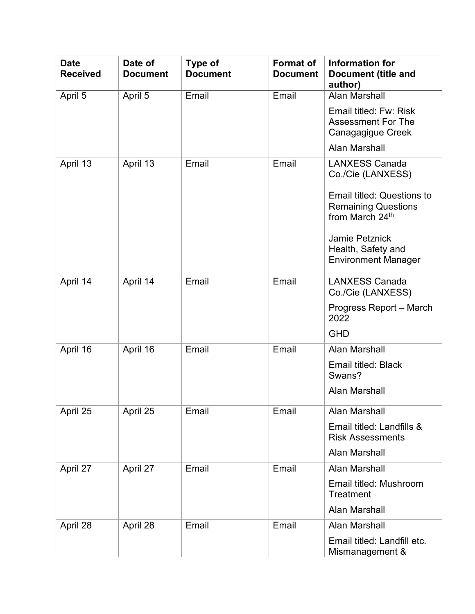| <b>Date</b><br><b>Received</b> | Date of<br><b>Document</b> | Type of<br><b>Document</b> | <b>Format of</b><br><b>Document</b> | Information for<br><b>Document (title and</b><br>author)                           |
|--------------------------------|----------------------------|----------------------------|-------------------------------------|------------------------------------------------------------------------------------|
| April 5                        | April 5                    | Email                      | Email                               | <b>Alan Marshall</b>                                                               |
|                                |                            |                            |                                     | Email titled: Fw: Risk<br><b>Assessment For The</b><br>Canagagigue Creek           |
|                                |                            |                            |                                     | Alan Marshall                                                                      |
| April 13                       | April 13                   | Email                      | Email                               | <b>LANXESS Canada</b><br>Co./Cie (LANXESS)                                         |
|                                |                            |                            |                                     | <b>Email titled: Questions to</b><br><b>Remaining Questions</b><br>from March 24th |
|                                |                            |                            |                                     | <b>Jamie Petznick</b><br>Health, Safety and<br><b>Environment Manager</b>          |
| April 14                       | April 14                   | Email                      | Email                               | <b>LANXESS Canada</b><br>Co./Cie (LANXESS)                                         |
|                                |                            |                            |                                     | Progress Report - March<br>2022                                                    |
|                                |                            |                            |                                     | <b>GHD</b>                                                                         |
| April 16                       | April 16                   | Email                      | Email                               | Alan Marshall                                                                      |
|                                |                            |                            |                                     | <b>Email titled: Black</b><br>Swans?                                               |
|                                |                            |                            |                                     | Alan Marshall                                                                      |
| April 25                       | April 25                   | Email                      | Email                               | <b>Alan Marshall</b>                                                               |
|                                |                            |                            |                                     | Email titled: Landfills &<br><b>Risk Assessments</b>                               |
|                                |                            |                            |                                     | <b>Alan Marshall</b>                                                               |
| April 27                       | April 27                   | Email                      | Email                               | Alan Marshall                                                                      |
|                                |                            |                            |                                     | Email titled: Mushroom<br><b>Treatment</b>                                         |
|                                |                            |                            |                                     | <b>Alan Marshall</b>                                                               |
| April 28                       | April 28                   | Email                      | Email                               | <b>Alan Marshall</b>                                                               |
|                                |                            |                            |                                     | Email titled: Landfill etc.<br>Mismanagement &                                     |